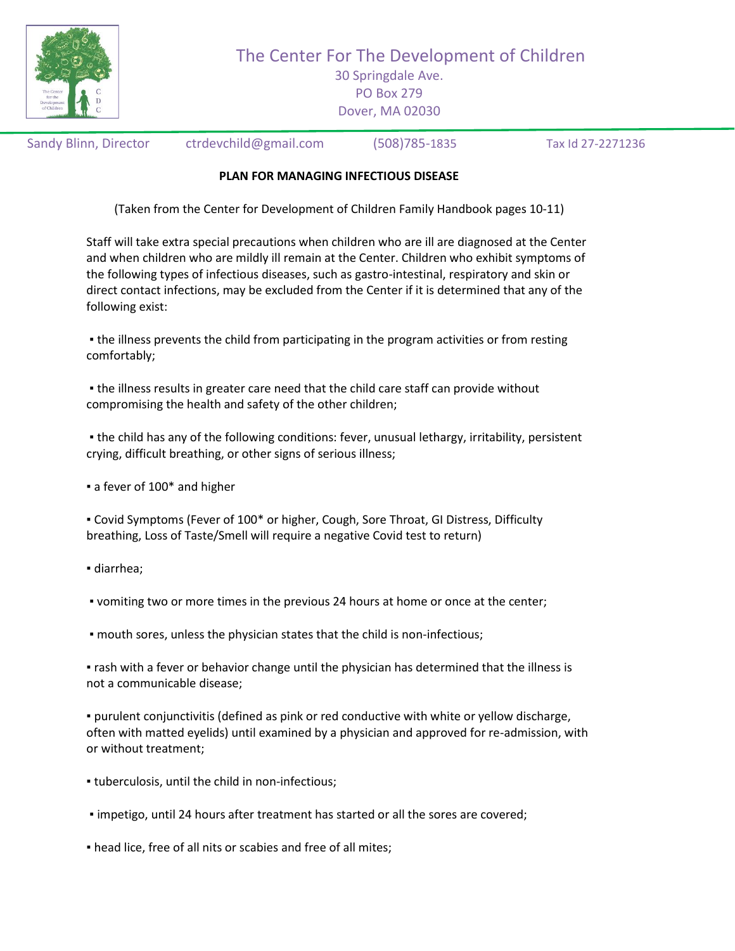

The Center For The Development of Children

30 Springdale Ave. PO Box 279 Dover, MA 02030

Sandy Blinn, Director ctrdevchild@gmail.com (508)785-1835 Tax Id 27-2271236

## **PLAN FOR MANAGING INFECTIOUS DISEASE**

(Taken from the Center for Development of Children Family Handbook pages 10-11)

Staff will take extra special precautions when children who are ill are diagnosed at the Center and when children who are mildly ill remain at the Center. Children who exhibit symptoms of the following types of infectious diseases, such as gastro-intestinal, respiratory and skin or direct contact infections, may be excluded from the Center if it is determined that any of the following exist:

▪ the illness prevents the child from participating in the program activities or from resting comfortably;

▪ the illness results in greater care need that the child care staff can provide without compromising the health and safety of the other children;

▪ the child has any of the following conditions: fever, unusual lethargy, irritability, persistent crying, difficult breathing, or other signs of serious illness;

■ a fever of 100<sup>\*</sup> and higher

▪ Covid Symptoms (Fever of 100\* or higher, Cough, Sore Throat, GI Distress, Difficulty breathing, Loss of Taste/Smell will require a negative Covid test to return)

▪ diarrhea;

▪ vomiting two or more times in the previous 24 hours at home or once at the center;

▪ mouth sores, unless the physician states that the child is non-infectious;

▪ rash with a fever or behavior change until the physician has determined that the illness is not a communicable disease;

▪ purulent conjunctivitis (defined as pink or red conductive with white or yellow discharge, often with matted eyelids) until examined by a physician and approved for re-admission, with or without treatment;

- tuberculosis, until the child in non-infectious;
- impetigo, until 24 hours after treatment has started or all the sores are covered;
- $\blacksquare$  head lice, free of all nits or scabies and free of all mites;